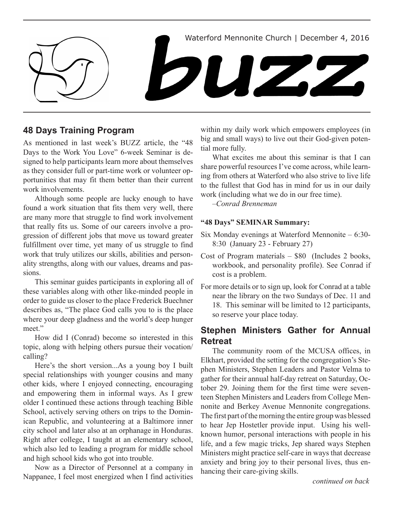

# **48 Days Training Program**

As mentioned in last week's BUZZ article, the "48 Days to the Work You Love" 6-week Seminar is designed to help participants learn more about themselves as they consider full or part-time work or volunteer opportunities that may fit them better than their current work involvements.

Although some people are lucky enough to have found a work situation that fits them very well, there are many more that struggle to find work involvement that really fits us. Some of our careers involve a progression of different jobs that move us toward greater fulfillment over time, yet many of us struggle to find work that truly utilizes our skills, abilities and personality strengths, along with our values, dreams and passions.

This seminar guides participants in exploring all of these variables along with other like-minded people in order to guide us closer to the place Frederick Buechner describes as, "The place God calls you to is the place where your deep gladness and the world's deep hunger meet."

How did I (Conrad) become so interested in this topic, along with helping others pursue their vocation/ calling?

Here's the short version...As a young boy I built special relationships with younger cousins and many other kids, where I enjoyed connecting, encouraging and empowering them in informal ways. As I grew older I continued these actions through teaching Bible School, actively serving others on trips to the Dominican Republic, and volunteering at a Baltimore inner city school and later also at an orphanage in Honduras. Right after college, I taught at an elementary school, which also led to leading a program for middle school and high school kids who got into trouble.

Now as a Director of Personnel at a company in Nappanee, I feel most energized when I find activities within my daily work which empowers employees (in big and small ways) to live out their God-given potential more fully.

What excites me about this seminar is that I can share powerful resources I've come across, while learning from others at Waterford who also strive to live life to the fullest that God has in mind for us in our daily work (including what we do in our free time).

*–Conrad Brenneman*

## **"48 Days" SEMINAR Summary:**

- Six Monday evenings at Waterford Mennonite 6:30- 8:30 (January 23 - February 27)
- Cost of Program materials \$80 (Includes 2 books, workbook, and personality profile). See Conrad if cost is a problem.
- For more details or to sign up, look for Conrad at a table near the library on the two Sundays of Dec. 11 and 18. This seminar will be limited to 12 participants, so reserve your place today.

# **Stephen Ministers Gather for Annual Retreat**

The community room of the MCUSA offices, in Elkhart, provided the setting for the congregation's Stephen Ministers, Stephen Leaders and Pastor Velma to gather for their annual half-day retreat on Saturday, October 29. Joining them for the first time were seventeen Stephen Ministers and Leaders from College Mennonite and Berkey Avenue Mennonite congregations. The first part of the morning the entire group was blessed to hear Jep Hostetler provide input. Using his wellknown humor, personal interactions with people in his life, and a few magic tricks, Jep shared ways Stephen Ministers might practice self-care in ways that decrease anxiety and bring joy to their personal lives, thus enhancing their care-giving skills.